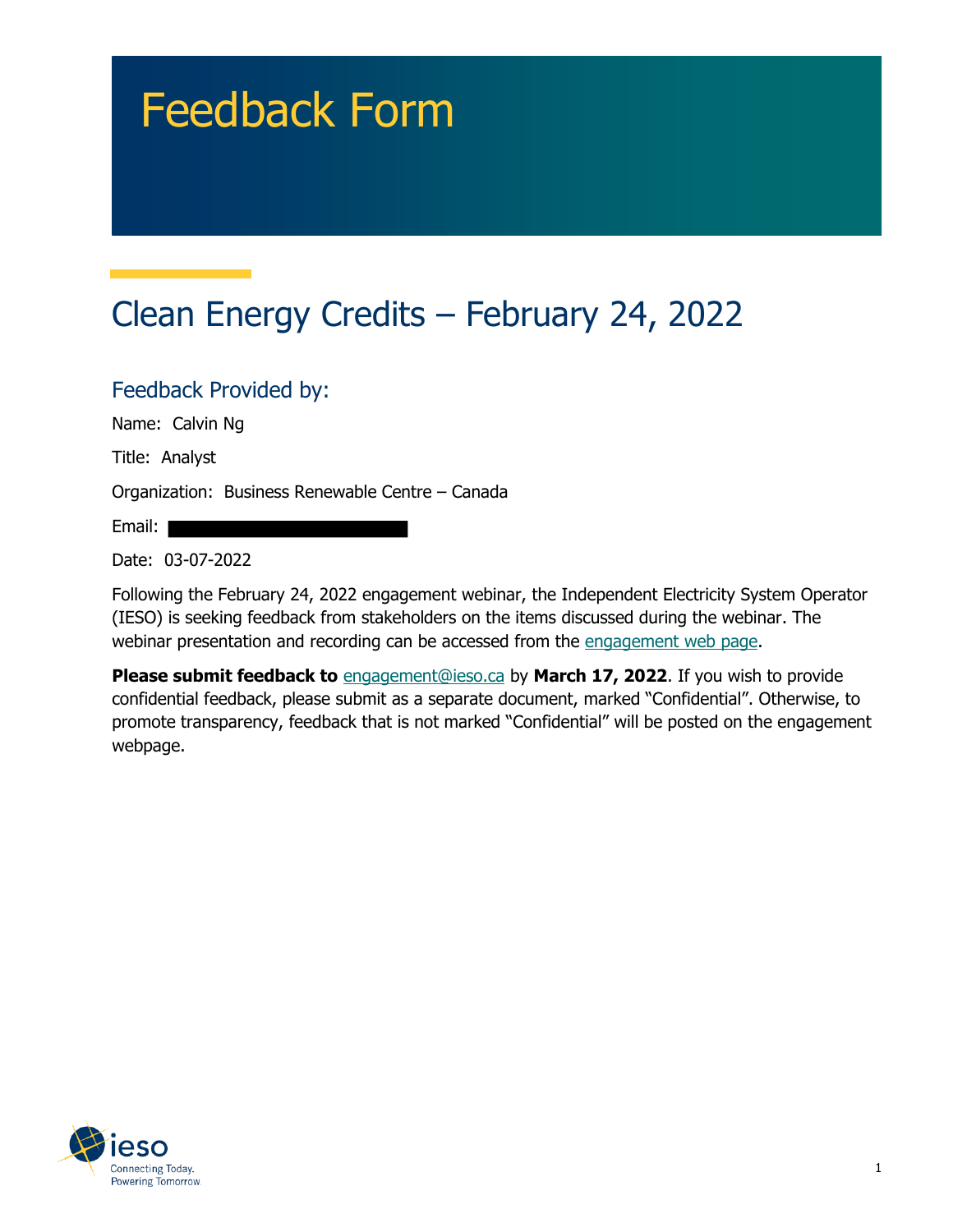# Feedback Form

## Clean Energy Credits – February 24, 2022

Feedback Provided by: Name: Calvin Ng

Title: Analyst

Organization: Business Renewable Centre – Canada

Email:

Date: 03-07-2022

Following the February 24, 2022 engagement webinar, the Independent Electricity System Operator (IESO) is seeking feedback from stakeholders on the items discussed during the webinar. The webinar presentation and recording can be accessed from the engagement web page.

**Please submit feedback to** engagement@ieso.ca by March 17, 2022. If you wish to provide confidential feedback, please submit as a separate document, marked "Confidential". Otherwise, to promote transparency, feedback that is not marked "Confidential" will be posted on the engagement webpage.

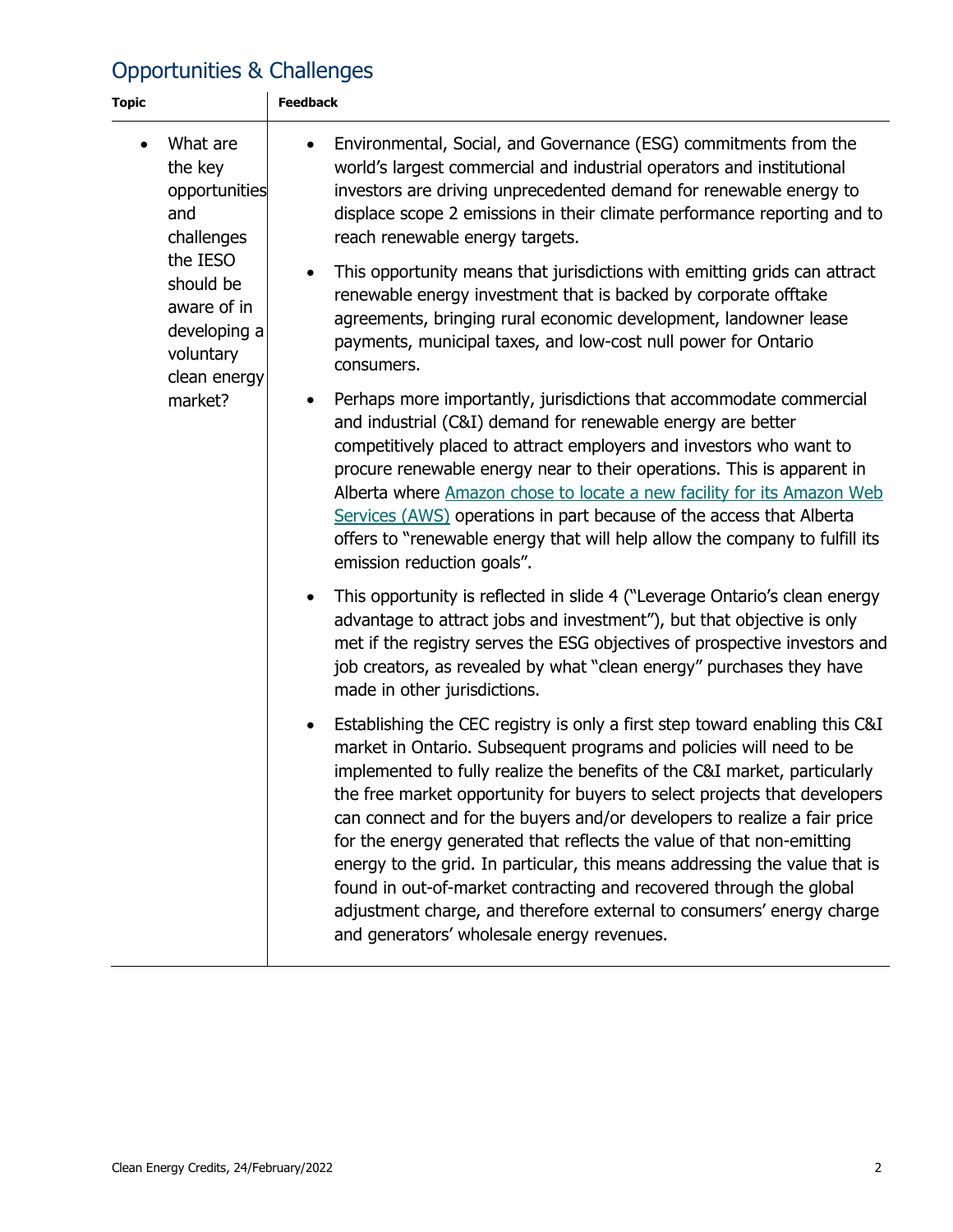#### Opportunities & Challenges

| <b>Topic</b> |                                                                                                                                                           | <b>Feedback</b>                                                                                                                                                                                                                                                                                                                                                                                                                                                                                                                                                                                                                                                                                                                                            |  |  |  |
|--------------|-----------------------------------------------------------------------------------------------------------------------------------------------------------|------------------------------------------------------------------------------------------------------------------------------------------------------------------------------------------------------------------------------------------------------------------------------------------------------------------------------------------------------------------------------------------------------------------------------------------------------------------------------------------------------------------------------------------------------------------------------------------------------------------------------------------------------------------------------------------------------------------------------------------------------------|--|--|--|
| $\bullet$    | What are<br>the key<br>opportunities<br>and<br>challenges<br>the IESO<br>should be<br>aware of in<br>developing a<br>voluntary<br>clean energy<br>market? | Environmental, Social, and Governance (ESG) commitments from the<br>world's largest commercial and industrial operators and institutional<br>investors are driving unprecedented demand for renewable energy to<br>displace scope 2 emissions in their climate performance reporting and to<br>reach renewable energy targets.                                                                                                                                                                                                                                                                                                                                                                                                                             |  |  |  |
|              |                                                                                                                                                           | This opportunity means that jurisdictions with emitting grids can attract<br>$\bullet$<br>renewable energy investment that is backed by corporate offtake<br>agreements, bringing rural economic development, landowner lease<br>payments, municipal taxes, and low-cost null power for Ontario<br>consumers.                                                                                                                                                                                                                                                                                                                                                                                                                                              |  |  |  |
|              |                                                                                                                                                           | Perhaps more importantly, jurisdictions that accommodate commercial<br>and industrial (C&I) demand for renewable energy are better<br>competitively placed to attract employers and investors who want to<br>procure renewable energy near to their operations. This is apparent in<br>Alberta where Amazon chose to locate a new facility for its Amazon Web<br>Services (AWS) operations in part because of the access that Alberta<br>offers to "renewable energy that will help allow the company to fulfill its<br>emission reduction goals".                                                                                                                                                                                                         |  |  |  |
|              |                                                                                                                                                           | This opportunity is reflected in slide 4 ("Leverage Ontario's clean energy<br>$\bullet$<br>advantage to attract jobs and investment"), but that objective is only<br>met if the registry serves the ESG objectives of prospective investors and<br>job creators, as revealed by what "clean energy" purchases they have<br>made in other jurisdictions.                                                                                                                                                                                                                                                                                                                                                                                                    |  |  |  |
|              |                                                                                                                                                           | Establishing the CEC registry is only a first step toward enabling this C&I<br>$\bullet$<br>market in Ontario. Subsequent programs and policies will need to be<br>implemented to fully realize the benefits of the C&I market, particularly<br>the free market opportunity for buyers to select projects that developers<br>can connect and for the buyers and/or developers to realize a fair price<br>for the energy generated that reflects the value of that non-emitting<br>energy to the grid. In particular, this means addressing the value that is<br>found in out-of-market contracting and recovered through the global<br>adjustment charge, and therefore external to consumers' energy charge<br>and generators' wholesale energy revenues. |  |  |  |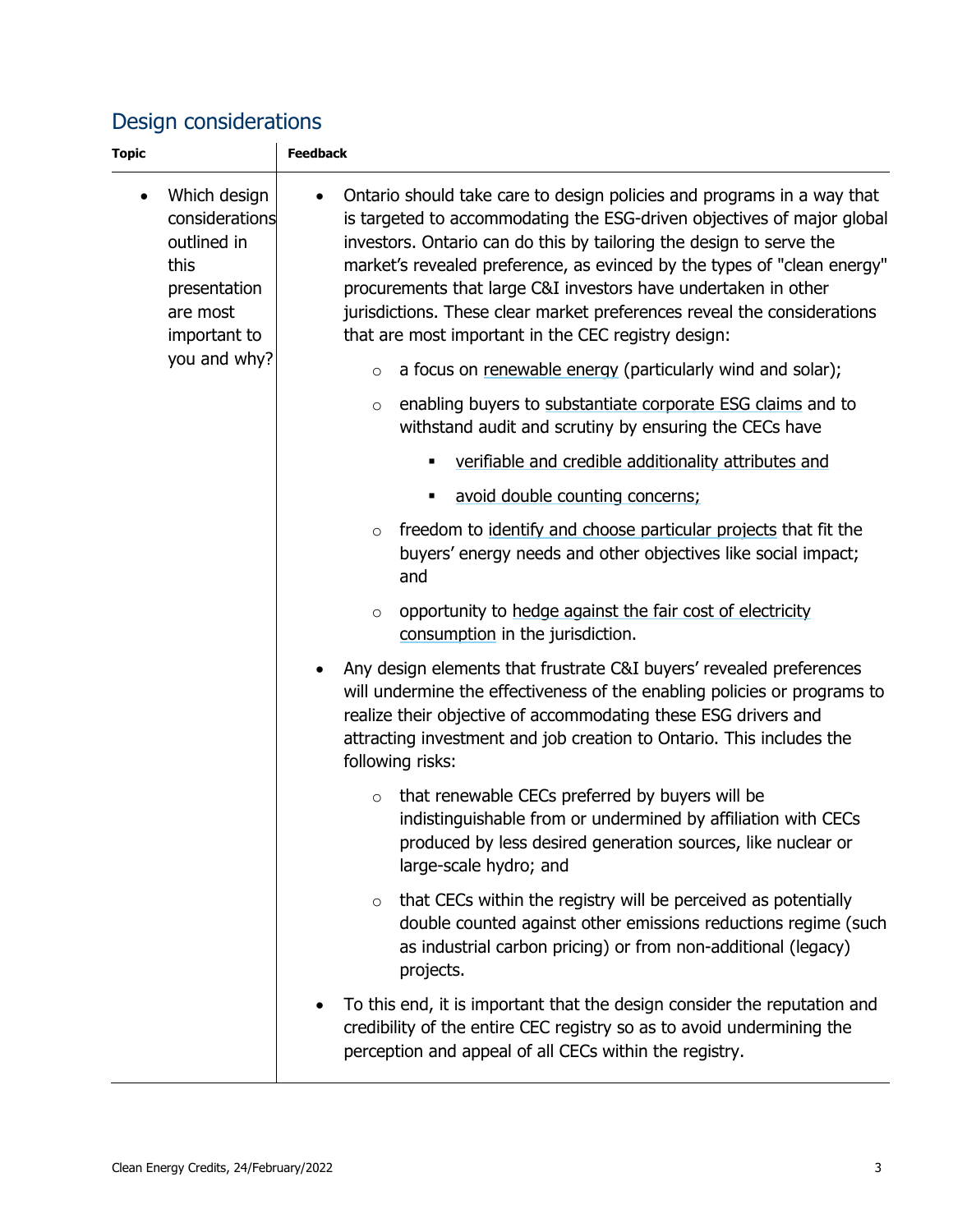#### Design considerations

| <b>Topic</b> |                                                                                                                   | <b>Feedback</b> |         |                                                                                                                                                                                                                                                                                                                                                                                                                                                                                                        |
|--------------|-------------------------------------------------------------------------------------------------------------------|-----------------|---------|--------------------------------------------------------------------------------------------------------------------------------------------------------------------------------------------------------------------------------------------------------------------------------------------------------------------------------------------------------------------------------------------------------------------------------------------------------------------------------------------------------|
| $\bullet$    | Which design<br>considerations<br>outlined in<br>this<br>presentation<br>are most<br>important to<br>you and why? |                 |         | Ontario should take care to design policies and programs in a way that<br>is targeted to accommodating the ESG-driven objectives of major global<br>investors. Ontario can do this by tailoring the design to serve the<br>market's revealed preference, as evinced by the types of "clean energy"<br>procurements that large C&I investors have undertaken in other<br>jurisdictions. These clear market preferences reveal the considerations<br>that are most important in the CEC registry design: |
|              |                                                                                                                   |                 | $\circ$ | a focus on renewable energy (particularly wind and solar);                                                                                                                                                                                                                                                                                                                                                                                                                                             |
|              |                                                                                                                   |                 | $\circ$ | enabling buyers to substantiate corporate ESG claims and to<br>withstand audit and scrutiny by ensuring the CECs have                                                                                                                                                                                                                                                                                                                                                                                  |
|              |                                                                                                                   |                 |         | verifiable and credible additionality attributes and                                                                                                                                                                                                                                                                                                                                                                                                                                                   |
|              |                                                                                                                   |                 |         | avoid double counting concerns;<br>٠                                                                                                                                                                                                                                                                                                                                                                                                                                                                   |
|              |                                                                                                                   |                 | $\circ$ | freedom to identify and choose particular projects that fit the<br>buyers' energy needs and other objectives like social impact;<br>and                                                                                                                                                                                                                                                                                                                                                                |
|              |                                                                                                                   |                 | $\circ$ | opportunity to hedge against the fair cost of electricity<br>consumption in the jurisdiction.                                                                                                                                                                                                                                                                                                                                                                                                          |
|              |                                                                                                                   |                 |         | Any design elements that frustrate C&I buyers' revealed preferences<br>will undermine the effectiveness of the enabling policies or programs to<br>realize their objective of accommodating these ESG drivers and<br>attracting investment and job creation to Ontario. This includes the<br>following risks:                                                                                                                                                                                          |
|              |                                                                                                                   |                 | $\circ$ | that renewable CECs preferred by buyers will be<br>indistinguishable from or undermined by affiliation with CECs<br>produced by less desired generation sources, like nuclear or<br>large-scale hydro; and                                                                                                                                                                                                                                                                                             |
|              |                                                                                                                   |                 | $\circ$ | that CECs within the registry will be perceived as potentially<br>double counted against other emissions reductions regime (such<br>as industrial carbon pricing) or from non-additional (legacy)<br>projects.                                                                                                                                                                                                                                                                                         |
|              |                                                                                                                   |                 |         | To this end, it is important that the design consider the reputation and<br>credibility of the entire CEC registry so as to avoid undermining the<br>perception and appeal of all CECs within the registry.                                                                                                                                                                                                                                                                                            |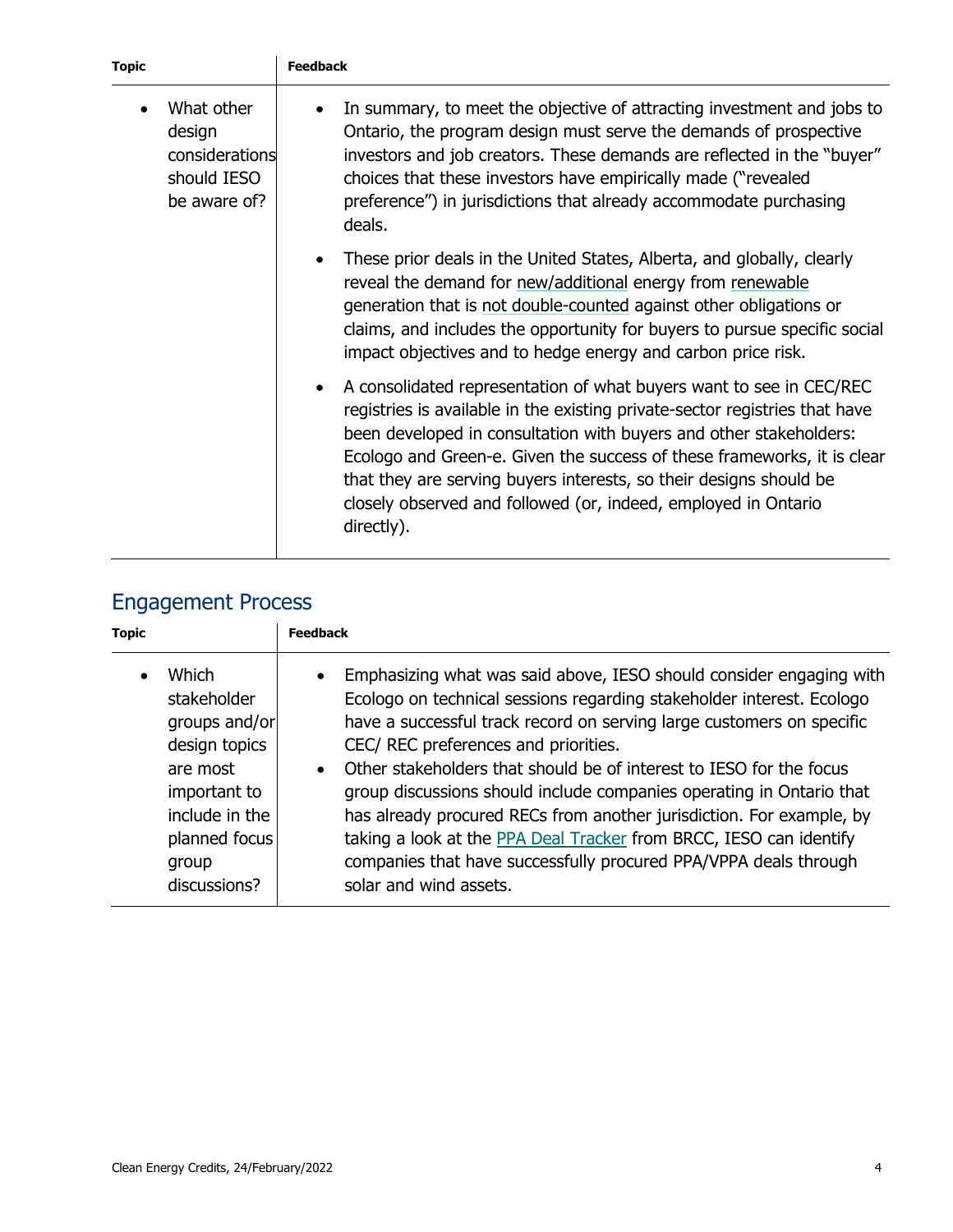| <b>Topic</b>                                                          | <b>Feedback</b>                                                                                                                                                                                                                                                                                                                                                                                                                                           |  |  |  |
|-----------------------------------------------------------------------|-----------------------------------------------------------------------------------------------------------------------------------------------------------------------------------------------------------------------------------------------------------------------------------------------------------------------------------------------------------------------------------------------------------------------------------------------------------|--|--|--|
| What other<br>design<br>considerations<br>should IESO<br>be aware of? | In summary, to meet the objective of attracting investment and jobs to<br>Ontario, the program design must serve the demands of prospective<br>investors and job creators. These demands are reflected in the "buyer"<br>choices that these investors have empirically made ("revealed")<br>preference") in jurisdictions that already accommodate purchasing<br>deals.                                                                                   |  |  |  |
|                                                                       | These prior deals in the United States, Alberta, and globally, clearly<br>reveal the demand for new/additional energy from renewable<br>generation that is not double-counted against other obligations or<br>claims, and includes the opportunity for buyers to pursue specific social<br>impact objectives and to hedge energy and carbon price risk.                                                                                                   |  |  |  |
|                                                                       | A consolidated representation of what buyers want to see in CEC/REC<br>registries is available in the existing private-sector registries that have<br>been developed in consultation with buyers and other stakeholders:<br>Ecologo and Green-e. Given the success of these frameworks, it is clear<br>that they are serving buyers interests, so their designs should be<br>closely observed and followed (or, indeed, employed in Ontario<br>directly). |  |  |  |

### Engagement Process

| <b>Topic</b> |                                                                                                                                                | <b>Feedback</b>                                                                                                                                                                                                                                                                                                                                                                                                                                                                                                                                                                                                                                                                    |  |  |  |
|--------------|------------------------------------------------------------------------------------------------------------------------------------------------|------------------------------------------------------------------------------------------------------------------------------------------------------------------------------------------------------------------------------------------------------------------------------------------------------------------------------------------------------------------------------------------------------------------------------------------------------------------------------------------------------------------------------------------------------------------------------------------------------------------------------------------------------------------------------------|--|--|--|
|              | Which<br>stakeholder<br>groups and/or<br>design topics<br>are most<br>important to<br>include in the<br>planned focus<br>group<br>discussions? | Emphasizing what was said above, IESO should consider engaging with<br>$\bullet$<br>Ecologo on technical sessions regarding stakeholder interest. Ecologo<br>have a successful track record on serving large customers on specific<br>CEC/ REC preferences and priorities.<br>Other stakeholders that should be of interest to IESO for the focus<br>$\bullet$<br>group discussions should include companies operating in Ontario that<br>has already procured RECs from another jurisdiction. For example, by<br>taking a look at the PPA Deal Tracker from BRCC, IESO can identify<br>companies that have successfully procured PPA/VPPA deals through<br>solar and wind assets. |  |  |  |